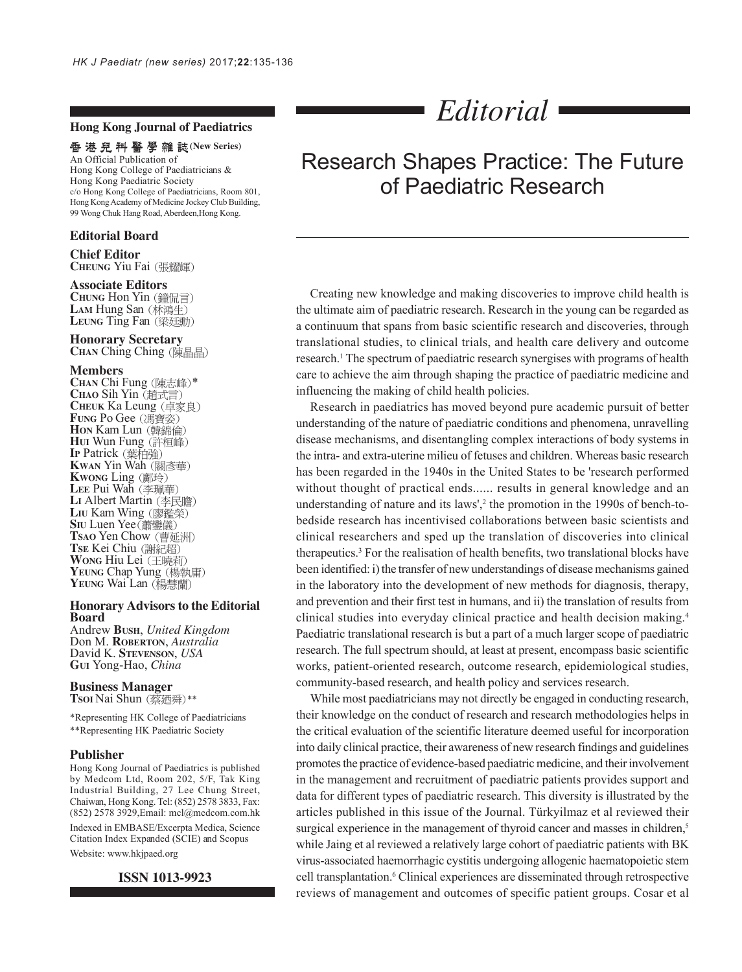### **Hong Kong Journal of Paediatrics**

## 香港兒科醫學雜誌(New Series)

An Official Publication of Hong Kong College of Paediatricians & Hong Kong Paediatric Society c/o Hong Kong College of Paediatricians, Room 801, Hong Kong Academy of Medicine Jockey Club Building, 99 Wong Chuk Hang Road, Aberdeen,Hong Kong.

#### **Editorial Board**

#### **Chief Editor CHEUNG** Yiu Fai

#### **Associate Editors**

**CHUNG** Hon Yin (鐘侃言) LAM Hung San (林鴻生) LEUNG Ting Fan (梁廷勳)

### **Honorary Secretary**

**CHAN** Ching Ching (陳晶晶)

**Members**<br>CHAN Chi Fung (陳志峰)\* **CHAN Chi Fung** (陳志峰)\*<br>CHAO Sih Yin (趙式言) **CHEUK** Ka Leung **Fung Po Gee** (馮寶姿) **Hon Kam Lun** (韓錦倫) **HUI** Wun Fung **IP** Patrick **KWAN** Yin Wah **KWONG** Ling LEE Pui Wah (李珮華) LI Albert Martin (李民瞻) LIU Kam Wing (廖鑑榮) **SIU** Luen Yee(蕭鑾儀) **TSAO** Yen Chow **TSE** Kei Chiu **WONG** Hiu Lei YEUNG Chap Yung (楊執庸) YEUNG Wai Lan (楊慧蘭)

#### **Honorary Advisors to the Editorial Board**

Andrew **BUSH**, *United Kingdom* Don M. **ROBERTON**, *Australia* David K. **STEVENSON**, *USA* **GUI** Yong-Hao, *China*

#### **Business Manager Tsoi** Nai Shun (蔡廼舜)\*\*

\*Representing HK College of Paediatricians \*\*Representing HK Paediatric Society

#### **Publisher**

Hong Kong Journal of Paediatrics is published by Medcom Ltd, Room 202, 5/F, Tak King Industrial Building, 27 Lee Chung Street, Chaiwan, Hong Kong. Tel: (852) 2578 3833, Fax: (852) 2578 3929,Email: mcl@medcom.com.hk

Indexed in EMBASE/Excerpta Medica, Science Citation Index Expanded (SCIE) and Scopus Website: www.hkjpaed.org

#### **ISSN 1013-9923**

*Editorial*

# Research Shapes Practice: The Future of Paediatric Research

Creating new knowledge and making discoveries to improve child health is the ultimate aim of paediatric research. Research in the young can be regarded as a continuum that spans from basic scientific research and discoveries, through translational studies, to clinical trials, and health care delivery and outcome research.<sup>1</sup> The spectrum of paediatric research synergises with programs of health care to achieve the aim through shaping the practice of paediatric medicine and influencing the making of child health policies.

Research in paediatrics has moved beyond pure academic pursuit of better understanding of the nature of paediatric conditions and phenomena, unravelling disease mechanisms, and disentangling complex interactions of body systems in the intra- and extra-uterine milieu of fetuses and children. Whereas basic research has been regarded in the 1940s in the United States to be 'research performed without thought of practical ends...... results in general knowledge and an understanding of nature and its laws', $2$  the promotion in the 1990s of bench-tobedside research has incentivised collaborations between basic scientists and clinical researchers and sped up the translation of discoveries into clinical therapeutics.3 For the realisation of health benefits, two translational blocks have been identified: i) the transfer of new understandings of disease mechanisms gained in the laboratory into the development of new methods for diagnosis, therapy, and prevention and their first test in humans, and ii) the translation of results from clinical studies into everyday clinical practice and health decision making.4 Paediatric translational research is but a part of a much larger scope of paediatric research. The full spectrum should, at least at present, encompass basic scientific works, patient-oriented research, outcome research, epidemiological studies, community-based research, and health policy and services research.

While most paediatricians may not directly be engaged in conducting research, their knowledge on the conduct of research and research methodologies helps in the critical evaluation of the scientific literature deemed useful for incorporation into daily clinical practice, their awareness of new research findings and guidelines promotes the practice of evidence-based paediatric medicine, and their involvement in the management and recruitment of paediatric patients provides support and data for different types of paediatric research. This diversity is illustrated by the articles published in this issue of the Journal. Türkyilmaz et al reviewed their surgical experience in the management of thyroid cancer and masses in children,<sup>5</sup> while Jaing et al reviewed a relatively large cohort of paediatric patients with BK virus-associated haemorrhagic cystitis undergoing allogenic haematopoietic stem cell transplantation.<sup>6</sup> Clinical experiences are disseminated through retrospective reviews of management and outcomes of specific patient groups. Cosar et al